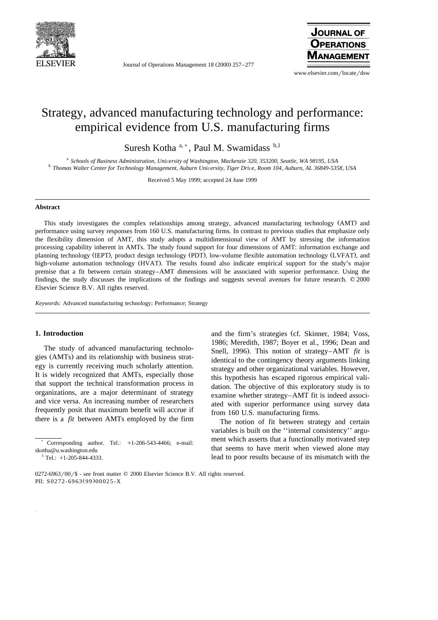

Journal of Operations Management  $18 (2000) 257-277$ 



www.elsevier.com/locate/dsw

# Strategy, advanced manufacturing technology and performance: empirical evidence from U.S. manufacturing firms

Suresh Kotha a,\*, Paul M. Swamidass b,1

 $^{\text{a}}$  Schools of Business Administration, University of Washington, Mackenzie 320, 353200, Seattle, WA 98195, USA  $^{\text{b}}$  Thomas Walter Center for Technology Management, Auburn University, Tiger Drive, Room 104, Aubur

Received 5 May 1999; accepted 24 June 1999

## **Abstract**

This study investigates the complex relationships among strategy, advanced manufacturing technology (AMT) and performance using survey responses from 160 U.S. manufacturing firms. In contrast to previous studies that emphasize only the flexibility dimension of AMT, this study adopts a multidimensional view of AMT by stressing the information processing capability inherent in AMTs. The study found support for four dimensions of AMT: information exchange and planning technology (IEPT), product design technology (PDT), low-volume flexible automation technology (LVFAT), and high-volume automation technology (HVAT). The results found also indicate empirical support for the study's major premise that a fit between certain strategy–AMT dimensions will be associated with superior performance. Using the findings, the study discusses the implications of the findings and suggests several avenues for future research.  $\oslash$  2000 Elsevier Science B.V. All rights reserved.

*Keywords:* Advanced manufacturing technology; Performance; Strategy

#### **1. Introduction**

The study of advanced manufacturing technologies (AMTs) and its relationship with business strategy is currently receiving much scholarly attention. It is widely recognized that AMTs, especially those that support the technical transformation process in organizations, are a major determinant of strategy and vice versa. An increasing number of researchers frequently posit that maximum benefit will accrue if there is a *fit* between AMTs employed by the firm

and the firm's strategies (cf. Skinner, 1984; Voss, 1986; Meredith, 1987; Boyer et al., 1996; Dean and Snell, 1996). This notion of strategy–AMT *fit* is identical to the contingency theory arguments linking strategy and other organizational variables. However, this hypothesis has escaped rigorous empirical validation. The objective of this exploratory study is to examine whether strategy–AMT fit is indeed associated with superior performance using survey data from 160 U.S. manufacturing firms.

The notion of fit between strategy and certain variables is built on the ''internal consistency'' argument which asserts that a functionally motivated step that seems to have merit when viewed alone may lead to poor results because of its mismatch with the

Corresponding author. Tel.:  $+1-206-543-4466$ ; e-mail: skotha@u.washington.edu<br> $\frac{1}{1}$ Tel.: +1-205-844-4333.

 $0272-6963/00$  /\$ - see front matter  $\odot$  2000 Elsevier Science B.V. All rights reserved. PII: S0272-6963(99)00025-X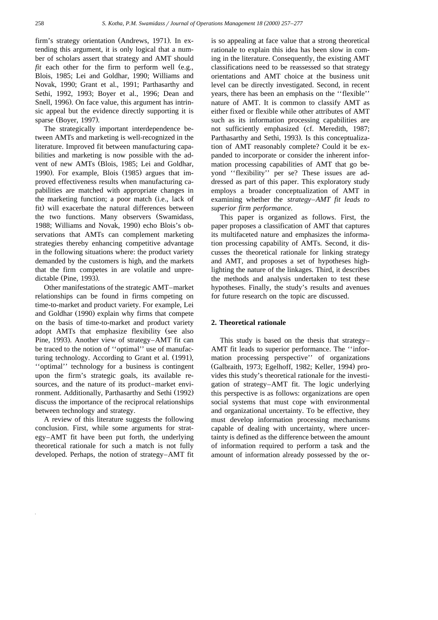firm's strategy orientation (Andrews, 1971). In extending this argument, it is only logical that a number of scholars assert that strategy and AMT should  $fit$  each other for the firm to perform well (e.g., Blois, 1985; Lei and Goldhar, 1990; Williams and Novak, 1990; Grant et al., 1991; Parthasarthy and Sethi, 1992, 1993; Boyer et al., 1996; Dean and Snell, 1996). On face value, this argument has intrinsic appeal but the evidence directly supporting it is sparse (Boyer, 1997).

The strategically important interdependence between AMTs and marketing is well-recognized in the literature. Improved fit between manufacturing capabilities and marketing is now possible with the advent of new AMTs (Blois, 1985; Lei and Goldhar, 1990). For example, Blois (1985) argues that improved effectiveness results when manufacturing capabilities are matched with appropriate changes in the marketing function; a poor match (i.e., lack of fit) will exacerbate the natural differences between the two functions. Many observers (Swamidass, 1988; Williams and Novak, 1990) echo Blois's observations that AMTs can complement marketing strategies thereby enhancing competitive advantage in the following situations where: the product variety demanded by the customers is high, and the markets that the firm competes in are volatile and unpredictable (Pine, 1993).

Other manifestations of the strategic AMT–market relationships can be found in firms competing on time-to-market and product variety. For example, Lei and Goldhar (1990) explain why firms that compete on the basis of time-to-market and product variety adopt AMTs that emphasize flexibility (see also Pine, 1993). Another view of strategy–AMT fit can be traced to the notion of ''optimal'' use of manufacturing technology. According to Grant et al.  $(1991)$ , ''optimal'' technology for a business is contingent upon the firm's strategic goals, its available resources, and the nature of its product–market environment. Additionally, Parthasarthy and Sethi (1992) discuss the importance of the reciprocal relationships between technology and strategy.

A review of this literature suggests the following conclusion. First, while some arguments for strategy–AMT fit have been put forth, the underlying theoretical rationale for such a match is not fully developed. Perhaps, the notion of strategy–AMT fit

is so appealing at face value that a strong theoretical rationale to explain this idea has been slow in coming in the literature. Consequently, the existing AMT classifications need to be reassessed so that strategy orientations and AMT choice at the business unit level can be directly investigated. Second, in recent years, there has been an emphasis on the ''flexible'' nature of AMT. It is common to classify AMT as either fixed or flexible while other attributes of AMT such as its information processing capabilities are not sufficiently emphasized (cf. Meredith, 1987; Parthasarthy and Sethi, 1993). Is this conceptualization of AMT reasonably complete? Could it be expanded to incorporate or consider the inherent information processing capabilities of AMT that go beyond ''flexibility'' per se? These issues are addressed as part of this paper. This exploratory study employs a broader conceptualization of AMT in examining whether the *strategy–AMT fit leads to superior firm performance*.

This paper is organized as follows. First, the paper proposes a classification of AMT that captures its multifaceted nature and emphasizes the information processing capability of AMTs. Second, it discusses the theoretical rationale for linking strategy and AMT, and proposes a set of hypotheses highlighting the nature of the linkages. Third, it describes the methods and analysis undertaken to test these hypotheses. Finally, the study's results and avenues for future research on the topic are discussed.

## **2. Theoretical rationale**

This study is based on the thesis that strategy– AMT fit leads to superior performance. The ''information processing perspective'' of organizations (Galbraith, 1973; Egelhoff, 1982; Keller, 1994) provides this study's theoretical rationale for the investigation of strategy–AMT fit. The logic underlying this perspective is as follows: organizations are open social systems that must cope with environmental and organizational uncertainty. To be effective, they must develop information processing mechanisms capable of dealing with uncertainty, where uncertainty is defined as the difference between the amount of information required to perform a task and the amount of information already possessed by the or-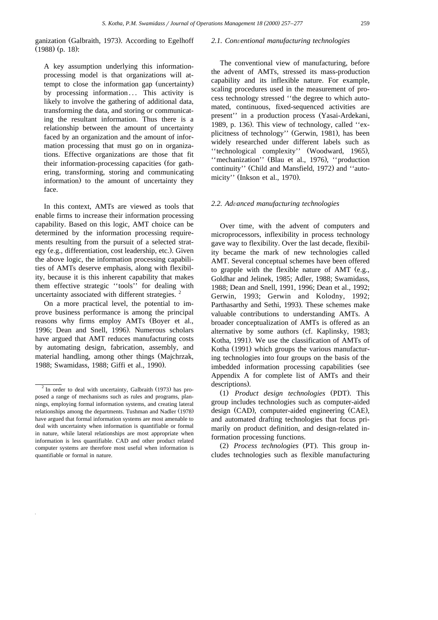ganization (Galbraith, 1973). According to Egelhoff  $(1988)$  (p. 18):

A key assumption underlying this informationprocessing model is that organizations will attempt to close the information gap (uncertainty) by processing information... This activity is likely to involve the gathering of additional data, transforming the data, and storing or communicating the resultant information. Thus there is a relationship between the amount of uncertainty faced by an organization and the amount of information processing that must go on in organizations. Effective organizations are those that fit their information-processing capacities (for gathering, transforming, storing and communicating information) to the amount of uncertainty they face.

In this context, AMTs are viewed as tools that enable firms to increase their information processing capability. Based on this logic, AMT choice can be determined by the information processing requirements resulting from the pursuit of a selected strategy (e.g., differentiation, cost leadership, etc.). Given the above logic, the information processing capabilities of AMTs deserve emphasis, along with flexibility, because it is this inherent capability that makes them effective strategic ''tools'' for dealing with uncertainty associated with different strategies.<sup>2</sup>

On a more practical level, the potential to improve business performance is among the principal reasons why firms employ AMTs (Boyer et al., 1996; Dean and Snell, 1996). Numerous scholars have argued that AMT reduces manufacturing costs by automating design, fabrication, assembly, and material handling, among other things (Majchrzak, 1988; Swamidass, 1988; Giffi et al., 1990).

## 2.1. Conventional manufacturing technologies

The conventional view of manufacturing, before the advent of AMTs, stressed its mass-production capability and its inflexible nature. For example, scaling procedures used in the measurement of process technology stressed ''the degree to which automated, continuous, fixed-sequenced activities are present'' in a production process (Yasai-Ardekani, 1989, p. 136). This view of technology, called " $ex$ plicitness of technology" (Gerwin, 1981), has been widely researched under different labels such as "technological complexity" (Woodward, 1965), "mechanization" (Blau et al., 1976), "production continuity" (Child and Mansfield, 1972) and "automicity" (Inkson et al., 1970).

#### 2.2. Advanced manufacturing technologies

Over time, with the advent of computers and microprocessors, inflexibility in process technology gave way to flexibility. Over the last decade, flexibility became the mark of new technologies called AMT. Several conceptual schemes have been offered to grapple with the flexible nature of  $AMT$  (e.g., Goldhar and Jelinek, 1985; Adler, 1988; Swamidass, 1988; Dean and Snell, 1991, 1996; Dean et al., 1992; Gerwin, 1993; Gerwin and Kolodny, 1992; Parthasarthy and Sethi, 1993). These schemes make valuable contributions to understanding AMTs. A broader conceptualization of AMTs is offered as an alternative by some authors (cf. Kaplinsky, 1983; Kotha, 1991). We use the classification of AMTs of Kotha (1991) which groups the various manufacturing technologies into four groups on the basis of the imbedded information processing capabilities (see Appendix A for complete list of AMTs and their descriptions).

Ž. Ž . 1 *Product design technologies* PDT . This group includes technologies such as computer-aided design (CAD), computer-aided engineering (CAE), and automated drafting technologies that focus primarily on product definition, and design-related information processing functions.

(2) *Process technologies* (PT). This group includes technologies such as flexible manufacturing

 $2$  In order to deal with uncertainty, Galbraith (1973) has proposed a range of mechanisms such as rules and programs, plannings, employing formal information systems, and creating lateral relationships among the departments. Tushman and Nadler (1978) have argued that formal information systems are most amenable to deal with uncertainty when information is quantifiable or formal in nature, while lateral relationships are most appropriate when information is less quantifiable. CAD and other product related computer systems are therefore most useful when information is quantifiable or formal in nature.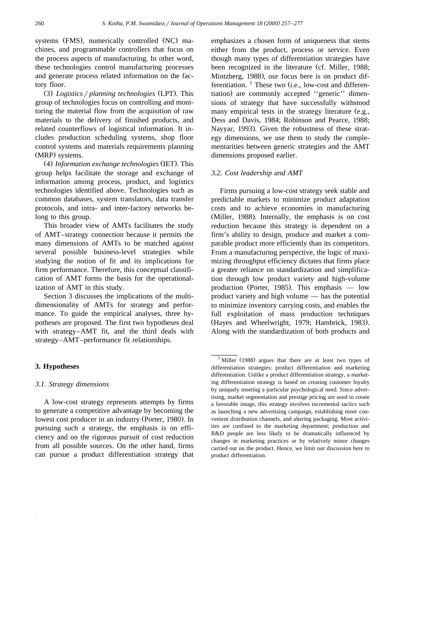systems (FMS), numerically controlled (NC) machines, and programmable controllers that focus on the process aspects of manufacturing. In other word, these technologies control manufacturing processes and generate process related information on the factory floor.

(3) *Logistics* / *planning technologies* (LPT). This group of technologies focus on controlling and monitoring the material flow from the acquisition of raw materials to the delivery of finished products, and related counterflows of logistical information. It includes production scheduling systems, shop floor control systems and materials requirements planning (MRP) systems.

Ž. Ž . 4 *Information exchange technologies* IET . This group helps facilitate the storage and exchange of information among process, product, and logistics technologies identified above. Technologies such as common databases, system translators, data transfer protocols, and intra- and inter-factory networks belong to this group.

This broader view of AMTs facilitates the study of AMT–strategy connection because it permits the many dimensions of AMTs to be matched against several possible business-level strategies while studying the notion of fit and its implications for firm performance. Therefore, this conceptual classification of AMT forms the basis for the operationalization of AMT in this study.

Section 3 discusses the implications of the multidimensionality of AMTs for strategy and performance. To guide the empirical analyses, three hypotheses are proposed. The first two hypotheses deal with strategy–AMT fit, and the third deals with strategy–AMT–performance fit relationships.

## **3. Hypotheses**

## *3.1. Strategy dimensions*

A low-cost strategy represents attempts by firms to generate a competitive advantage by becoming the lowest cost producer in an industry (Porter, 1980). In pursuing such a strategy, the emphasis is on efficiency and on the rigorous pursuit of cost reduction from all possible sources. On the other hand, firms can pursue a product differentiation strategy that emphasizes a chosen form of uniqueness that stems either from the product, process or service. Even though many types of differentiation strategies have been recognized in the literature (cf. Miller, 1988; Mintzberg, 1988), our focus here is on product differentiation.  $3$  These two (i.e., low-cost and differentiation) are commonly accepted "generic" dimensions of strategy that have successfully withstood many empirical tests in the strategy literature  $(e.g.,)$ Dess and Davis, 1984; Robinson and Pearce, 1988; Nayyar, 1993). Given the robustness of these strategy dimensions, we use them to study the complementarities between generic strategies and the AMT dimensions proposed earlier.

#### *3.2. Cost leadership and AMT*

Firms pursuing a low-cost strategy seek stable and predictable markets to minimize product adaptation costs and to achieve economies in manufacturing (Miller, 1988). Internally, the emphasis is on cost reduction because this strategy is dependent on a firm's ability to design, produce and market a comparable product more efficiently than its competitors. From a manufacturing perspective, the logic of maximizing throughput efficiency dictates that firms place a greater reliance on standardization and simplification through low product variety and high-volume production (Porter, 1985). This emphasis  $-$  low product variety and high volume — has the potential to minimize inventory carrying costs, and enables the full exploitation of mass production techniques (Hayes and Wheelwright, 1979; Hambrick, 1983). Along with the standardization of both products and

 $3$  Miller (1988) argues that there are at least two types of differentiation strategies: product differentiation and marketing differentiation. Unlike a product differentiation strategy, a marketing differentiation strategy is based on creating customer loyalty by uniquely meeting a particular psychological need. Since advertising, market segmentation and prestige pricing are used to create a favorable image, this strategy involves incremental tactics such as launching a new advertising campaign, establishing more convenient distribution channels, and altering packaging. Most activities are confined to the marketing department; production and R&D people are less likely to be dramatically influenced by changes in marketing practices or by relatively minor changes carried out on the product. Hence, we limit our discussion here to product differentiation.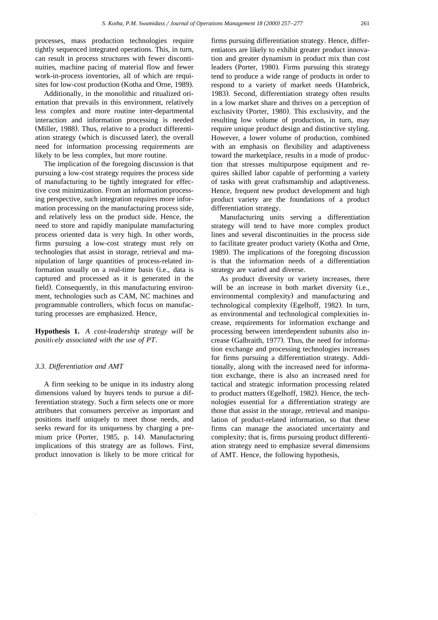processes, mass production technologies require tightly sequenced integrated operations. This, in turn, can result in process structures with fewer discontinuities, machine pacing of material flow and fewer work-in-process inventories, all of which are requisites for low-cost production (Kotha and Orne, 1989).

Additionally, in the monolithic and ritualized orientation that prevails in this environment, relatively less complex and more routine inter-departmental interaction and information processing is needed (Miller, 1988). Thus, relative to a product differentiation strategy (which is discussed later), the overall need for information processing requirements are likely to be less complex, but more routine.

The implication of the foregoing discussion is that pursuing a low-cost strategy requires the process side of manufacturing to be tightly integrated for effective cost minimization. From an information processing perspective, such integration requires more information processing on the manufacturing process side, and relatively less on the product side. Hence, the need to store and rapidly manipulate manufacturing process oriented data is very high. In other words, firms pursuing a low-cost strategy must rely on technologies that assist in storage, retrieval and manipulation of large quantities of process-related information usually on a real-time basis (i.e., data is captured and processed as it is generated in the field). Consequently, in this manufacturing environment, technologies such as CAM, NC machines and programmable controllers, which focus on manufacturing processes are emphasized. Hence,

**Hypothesis 1.** *A cost-leadership strategy will be positively associated with the use of PT.* 

## *3.3. Differentiation and AMT*

A firm seeking to be unique in its industry along dimensions valued by buyers tends to pursue a differentiation strategy. Such a firm selects one or more attributes that consumers perceive as important and positions itself uniquely to meet those needs, and seeks reward for its uniqueness by charging a premium price (Porter, 1985, p. 14). Manufacturing implications of this strategy are as follows. First, product innovation is likely to be more critical for

firms pursuing differentiation strategy. Hence, differentiators are likely to exhibit greater product innovation and greater dynamism in product mix than cost leaders (Porter, 1980). Firms pursuing this strategy tend to produce a wide range of products in order to respond to a variety of market needs (Hambrick, 1983). Second, differentiation strategy often results. in a low market share and thrives on a perception of exclusivity (Porter, 1980). This exclusivity, and the resulting low volume of production, in turn, may require unique product design and distinctive styling. However, a lower volume of production, combined with an emphasis on flexibility and adaptiveness toward the marketplace, results in a mode of production that stresses multipurpose equipment and requires skilled labor capable of performing a variety of tasks with great craftsmanship and adaptiveness. Hence, frequent new product development and high product variety are the foundations of a product differentiation strategy.

Manufacturing units serving a differentiation strategy will tend to have more complex product lines and several discontinuities in the process side to facilitate greater product variety (Kotha and Orne, 1989). The implications of the foregoing discussion is that the information needs of a differentiation strategy are varied and diverse.

As product diversity or variety increases, there will be an increase in both market diversity (i.e., environmental complexity) and manufacturing and technological complexity (Egelhoff, 1982). In turn, as environmental and technological complexities increase, requirements for information exchange and processing between interdependent subunits also increase (Galbraith, 1977). Thus, the need for information exchange and processing technologies increases for firms pursuing a differentiation strategy. Additionally, along with the increased need for information exchange, there is also an increased need for tactical and strategic information processing related to product matters (Egelhoff, 1982). Hence, the technologies essential for a differentiation strategy are those that assist in the storage, retrieval and manipulation of product-related information, so that these firms can manage the associated uncertainty and complexity; that is, firms pursuing product differentiation strategy need to emphasize several dimensions of AMT. Hence, the following hypothesis,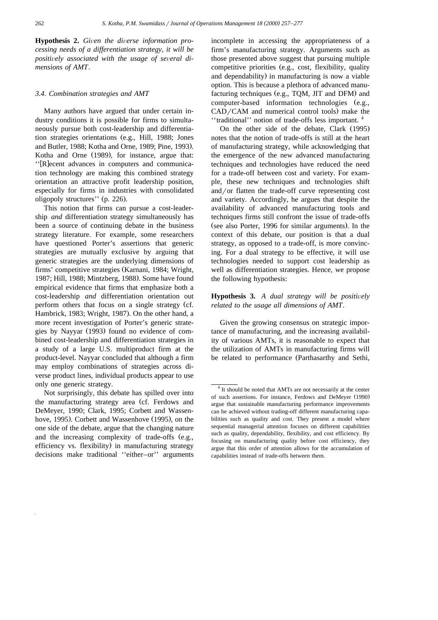**Hypothesis 2.** *Given the diverse information processing needs of a differentiation strategy, it will be positively associated with the usage of several dimensions of AMT*.

## *3.4. Combination strategies and AMT*

Many authors have argued that under certain industry conditions it is possible for firms to simultaneously pursue both cost-leadership and differentiation strategies orientations (e.g., Hill, 1988; Jones and Butler, 1988; Kotha and Orne, 1989; Pine, 1993). Kotha and Orne (1989), for instance, argue that: '' [R] ecent advances in computers and communication technology are making this combined strategy orientation an attractive profit leadership position, especially for firms in industries with consolidated oligopoly structures'' (p. 226).

This notion that firms can pursue a cost-leadership *and* differentiation strategy simultaneously has been a source of continuing debate in the business strategy literature. For example, some researchers have questioned Porter's assertions that generic strategies are mutually exclusive by arguing that generic strategies are the underlying dimensions of firms' competitive strategies (Karnani, 1984; Wright, 1987; Hill, 1988; Mintzberg, 1988). Some have found empirical evidence that firms that emphasize both a cost-leadership *and* differentiation orientation out perform others that focus on a single strategy (cf. Hambrick, 1983; Wright, 1987). On the other hand, a more recent investigation of Porter's generic strategies by Nayyar (1993) found no evidence of combined cost-leadership and differentiation strategies in a study of a large U.S. multiproduct firm at the product-level. Nayyar concluded that although a firm may employ combinations of strategies across diverse product lines, individual products appear to use only one generic strategy.

Not surprisingly, this debate has spilled over into the manufacturing strategy area (cf. Ferdows and DeMeyer, 1990; Clark, 1995; Corbett and Wassenhove, 1995). Corbett and Wassenhove (1995), on the one side of the debate, argue that the changing nature and the increasing complexity of trade-offs  $(e.g.,)$ efficiency vs. flexibility) in manufacturing strategy decisions make traditional ''either–or'' arguments

incomplete in accessing the appropriateness of a firm's manufacturing strategy. Arguments such as those presented above suggest that pursuing multiple competitive priorities (e.g., cost, flexibility, quality and dependability) in manufacturing is now a viable option. This is because a plethora of advanced manufacturing techniques (e.g., TQM, JIT and DFM) and computer-based information technologies  $(e.g.,)$ CAD/CAM and numerical control tools) make the ''traditional'' notion of trade-offs less important. <sup>4</sup>

On the other side of the debate, Clark (1995) notes that the notion of trade-offs is still at the heart of manufacturing strategy, while acknowledging that the emergence of the new advanced manufacturing techniques and technologies have reduced the need for a trade-off between cost and variety. For example, these new techniques and technologies shift and/or flatten the trade-off curve representing cost and variety. Accordingly, he argues that despite the availability of advanced manufacturing tools and techniques firms still confront the issue of trade-offs (see also Porter, 1996 for similar arguments). In the context of this debate, our position is that a dual strategy, as opposed to a trade-off, is more convincing. For a dual strategy to be effective, it will use technologies needed to support cost leadership as well as differentiation strategies. Hence, we propose the following hypothesis:

## **Hypothesis 3.** *A dual strategy will be positively related to the usage all dimensions of AMT*.

Given the growing consensus on strategic importance of manufacturing, and the increasing availability of various AMTs, it is reasonable to expect that the utilization of AMTs in manufacturing firms will be related to performance (Parthasarthy and Sethi,

<sup>&</sup>lt;sup>4</sup> It should be noted that AMTs are not necessarily at the center of such assertions. For instance, Ferdows and DeMeyer (1990) argue that sustainable manufacturing performance improvements can be achieved without trading-off different manufacturing capabilities such as quality and cost. They present a model where sequential managerial attention focuses on different capabilities such as quality, dependability, flexibility, and cost efficiency. By focusing on manufacturing quality before cost efficiency, they argue that this order of attention allows for the accumulation of capabilities instead of trade-offs between them.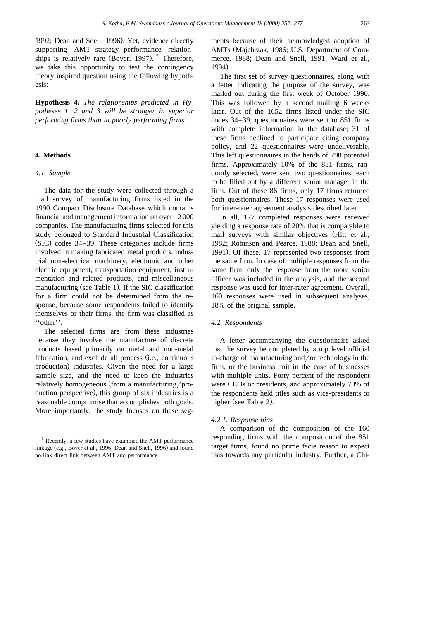1992; Dean and Snell, 1996). Yet, evidence directly supporting AMT–strategy–performance relationships is relatively rare (Boyer, 1997).  $5$  Therefore, we take this opportunity to test the contingency theory inspired question using the following hypothesis:

**Hypothesis 4.** *The relationships predicted in Hypotheses 1, 2 and 3 will be stronger in superior performing firms than in poorly performing firms*.

#### **4. Methods**

## *4.1. Sample*

The data for the study were collected through a mail survey of manufacturing firms listed in the 1990 Compact Disclosure Database which contains financial and management information on over 12 000 companies. The manufacturing firms selected for this study belonged to Standard Industrial Classification  $(SIC)$  codes 34–39. These categories include firms involved in making fabricated metal products, industrial non-electrical machinery, electronic and other electric equipment, transportation equipment, instrumentation and related products, and miscellaneous manufacturing (see Table 1). If the SIC classification for a firm could not be determined from the response, because some respondents failed to identify themselves or their firms, the firm was classified as ''other''.

The selected firms are from these industries because they involve the manufacture of discrete products based primarily on metal and non-metal fabrication, and exclude all process (i.e., continuous production) industries. Given the need for a large sample size, and the need to keep the industries relatively homogeneous (from a manufacturing/production perspective), this group of six industries is a reasonable compromise that accomplishes both goals. More importantly, the study focuses on these segments because of their acknowledged adoption of AMTs (Majchrzak, 1986; U.S. Department of Commerce, 1988; Dean and Snell, 1991; Ward et al., 1994).

The first set of survey questionnaires, along with a letter indicating the purpose of the survey, was mailed out during the first week of October 1990. This was followed by a second mailing 6 weeks later. Out of the 1652 firms listed under the SIC codes 34–39, questionnaires were sent to 851 firms with complete information in the database; 31 of these firms declined to participate citing company policy, and 22 questionnaires were undeliverable. This left questionnaires in the hands of 798 potential firms. Approximately 10% of the 851 firms, randomly selected, were sent two questionnaires, each to be filled out by a different senior manager in the firm. Out of these 86 firms, only 17 firms returned both questionnaires. These 17 responses were used for inter-rater agreement analysis described later.

In all, 177 completed responses were received yielding a response rate of 20% that is comparable to mail surveys with similar objectives (Hitt et al., 1982; Robinson and Pearce, 1988; Dean and Snell, 1991). Of these, 17 represented two responses from the same firm. In case of multiple responses from the same firm, only the response from the more senior officer was included in the analysis, and the second response was used for inter-rater agreement. Overall, 160 responses were used in subsequent analyses, 18% of the original sample.

#### *4.2. Respondents*

A letter accompanying the questionnaire asked that the survey be completed by a top level official in-charge of manufacturing and/or technology in the firm, or the business unit in the case of businesses with multiple units. Forty percent of the respondent were CEOs or presidents, and approximately 70% of the respondents held titles such as vice-presidents or higher (see Table 2).

#### *4.2.1. Response bias*

A comparison of the composition of the 160 responding firms with the composition of the 851 target firms, found no prime facie reason to expect bias towards any particular industry. Further, a Chi-

<sup>5</sup> Recently, a few studies have examined the AMT performance linkage (e.g., Boyer et al., 1996; Dean and Snell, 1996) and found no link direct link between AMT and performance.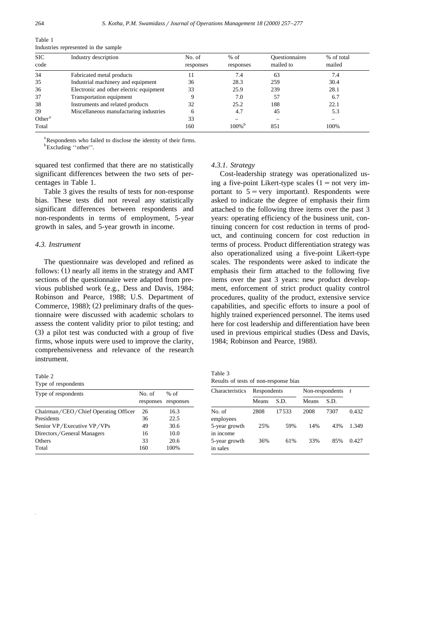| <b>SIC</b><br>code | Industry description                    | No. of<br>responses | $%$ of<br>responses | <b>Questionnaires</b><br>mailed to | % of total<br>mailed |  |
|--------------------|-----------------------------------------|---------------------|---------------------|------------------------------------|----------------------|--|
|                    |                                         |                     |                     |                                    |                      |  |
| 34                 | Fabricated metal products               | 11                  | 7.4                 | 63                                 | 7.4                  |  |
| 35                 | Industrial machinery and equipment      | 36                  | 28.3                | 259                                | 30.4                 |  |
| 36                 | Electronic and other electric equipment | 33                  | 25.9                | 239                                | 28.1                 |  |
| 37                 | Transportation equipment                |                     | 7.0                 | 57                                 | 6.7                  |  |
| 38                 | Instruments and related products        | 32                  | 25.2                | 188                                | 22.1                 |  |
| 39                 | Miscellaneous manufacturing industries  | h                   | 4.7                 | 45                                 | 5.3                  |  |
| Other $a$          |                                         | 33                  |                     |                                    |                      |  |
| Total              |                                         | 160                 | 100% <sup>b</sup>   | 851                                | 100%                 |  |

Table 1 Industries represented in the sample

<sup>a</sup>Respondents who failed to disclose the identity of their firms. <sup>b</sup>Excluding "other".

squared test confirmed that there are no statistically significant differences between the two sets of percentages in Table 1.

Table 3 gives the results of tests for non-response bias. These tests did not reveal any statistically significant differences between respondents and non-respondents in terms of employment, 5-year growth in sales, and 5-year growth in income.

## *4.3. Instrument*

The questionnaire was developed and refined as follows:  $(1)$  nearly all items in the strategy and AMT sections of the questionnaire were adapted from previous published work (e.g., Dess and Davis, 1984; Robinson and Pearce, 1988; U.S. Department of Commerce, 1988);  $(2)$  preliminary drafts of the questionnaire were discussed with academic scholars to assess the content validity prior to pilot testing; and  $(3)$  a pilot test was conducted with a group of five firms, whose inputs were used to improve the clarity, comprehensiveness and relevance of the research instrument.

| Table |  |
|-------|--|
|-------|--|

Type of respondents

| Type of respondents                  | No. of    | $%$ of    |
|--------------------------------------|-----------|-----------|
|                                      | responses | responses |
| Chairman/CEO/Chief Operating Officer | 26        | 16.3      |
| Presidents                           | 36        | 22.5      |
| Senior VP/Executive VP/VPs           | 49        | 30.6      |
| Directors/General Managers           | 16        | 10.0      |
| Others                               | 33        | 20.6      |
| Total                                | 160       | 100%      |

#### *4.3.1. Strategy*

Cost-leadership strategy was operationalized using a five-point Likert-type scales  $(1 = not \, \text{very} \, \text{im})$ portant to  $5 = \text{very important}$ . Respondents were asked to indicate the degree of emphasis their firm attached to the following three items over the past 3 years: operating efficiency of the business unit, continuing concern for cost reduction in terms of product, and continuing concern for cost reduction in terms of process. Product differentiation strategy was also operationalized using a five-point Likert-type scales. The respondents were asked to indicate the emphasis their firm attached to the following five items over the past 3 years: new product development, enforcement of strict product quality control procedures, quality of the product, extensive service capabilities, and specific efforts to insure a pool of highly trained experienced personnel. The items used here for cost leadership and differentiation have been used in previous empirical studies (Dess and Davis, 1984; Robinson and Pearce, 1988).

Table 3 Results of tests of non-response bias

| Characteristics            | Respondents |       | Non-respondents | $\mathbf{t}$ |       |
|----------------------------|-------------|-------|-----------------|--------------|-------|
|                            | Means       | S.D.  | Means           | S.D.         |       |
| No. of<br>employees        | 2808        | 17533 | 2008            | 7307         | 0.432 |
| 5-year growth<br>in income | 25%         | 59%   | 14%             | 43%          | 1.349 |
| 5-year growth<br>in sales  | 36%         | 61%   | 33%             | 85%          | 0.427 |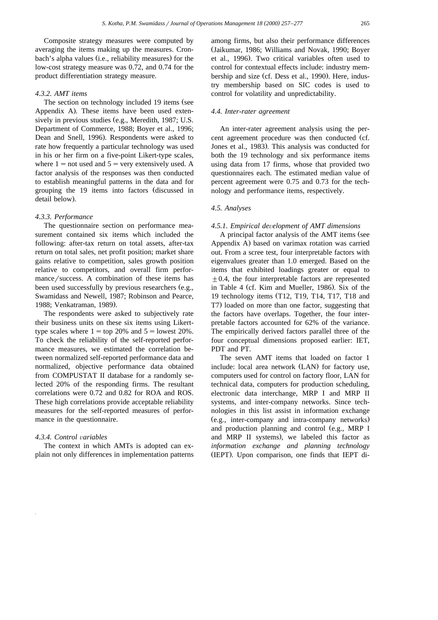Composite strategy measures were computed by averaging the items making up the measures. Cronbach's alpha values (*i.e.*, reliability measures) for the low-cost strategy measure was 0.72, and 0.74 for the product differentiation strategy measure.

## *4.3.2. AMT items*

The section on technology included 19 items (see Appendix A). These items have been used extensively in previous studies (e.g., Meredith, 1987; U.S. Department of Commerce, 1988; Boyer et al., 1996; Dean and Snell, 1996). Respondents were asked to rate how frequently a particular technology was used in his or her firm on a five-point Likert-type scales, where  $1 = not$  used and  $5 = very$  extensively used. A factor analysis of the responses was then conducted to establish meaningful patterns in the data and for grouping the 19 items into factors (discussed in detail below).

## *4.3.3. Performance*

The questionnaire section on performance measurement contained six items which included the following: after-tax return on total assets, after-tax return on total sales, net profit position; market share gains relative to competition, sales growth position relative to competitors, and overall firm performance/success. A combination of these items has been used successfully by previous researchers  $(e.g.,)$ Swamidass and Newell, 1987; Robinson and Pearce, 1988; Venkatraman, 1989).

The respondents were asked to subjectively rate their business units on these six items using Likerttype scales where  $1 = \text{top } 20\%$  and  $5 = \text{lowest } 20\%$ . To check the reliability of the self-reported performance measures, we estimated the correlation between normalized self-reported performance data and normalized, objective performance data obtained from COMPUSTAT II database for a randomly selected 20% of the responding firms. The resultant correlations were 0.72 and 0.82 for ROA and ROS. These high correlations provide acceptable reliability measures for the self-reported measures of performance in the questionnaire.

## 4.3.4. Control variables

The context in which AMTs is adopted can explain not only differences in implementation patterns

among firms, but also their performance differences (Jaikumar, 1986; Williams and Novak, 1990; Boyer et al., 1996). Two critical variables often used to control for contextual effects include: industry membership and size (cf. Dess et al., 1990). Here, industry membership based on SIC codes is used to control for volatility and unpredictability.

#### *4.4. Inter-rater agreement*

An inter-rater agreement analysis using the percent agreement procedure was then conducted (cf. Jones et al., 1983). This analysis was conducted for both the 19 technology and six performance items using data from 17 firms, whose that provided two questionnaires each. The estimated median value of percent agreement were 0.75 and 0.73 for the technology and performance items, respectively.

## *4.5. Analyses*

#### *4.5.1. Empirical de*Õ*elopment of AMT dimensions*

A principal factor analysis of the AMT items (see Appendix A) based on varimax rotation was carried out. From a scree test, four interpretable factors with eigenvalues greater than 1.0 emerged. Based on the items that exhibited loadings greater or equal to  $\pm 0.4$ , the four interpretable factors are represented in Table 4 (cf. Kim and Mueller, 1986). Six of the 19 technology items (T12, T19, T14, T17, T18 and T7) loaded on more than one factor, suggesting that the factors have overlaps. Together, the four interpretable factors accounted for 62% of the variance. The empirically derived factors parallel three of the four conceptual dimensions proposed earlier: IET, PDT and PT.

The seven AMT items that loaded on factor 1 include: local area network (LAN) for factory use, computers used for control on factory floor, LAN for technical data, computers for production scheduling, electronic data interchange, MRP I and MRP II systems, and inter-company networks. Since technologies in this list assist in information exchange (e.g., inter-company and intra-company networks) and production planning and control (e.g., MRP I and MRP II systems), we labeled this factor as *information exchange and planning technology* (IEPT). Upon comparison, one finds that IEPT di-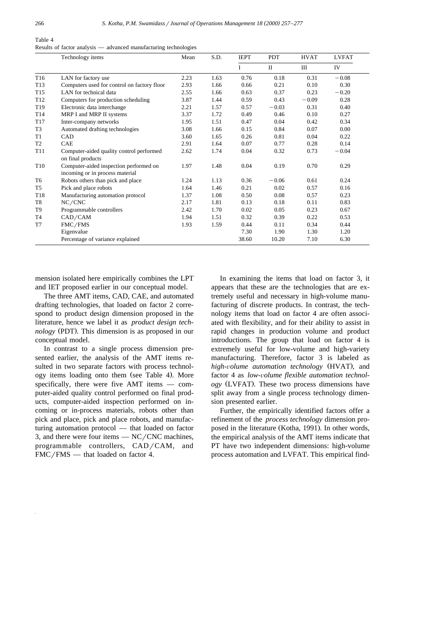| Table 4                                                          |  |
|------------------------------------------------------------------|--|
| Results of factor analysis — advanced manufacturing technologies |  |

|                 | Technology items                                                          | Mean | S.D. | <b>IEPT</b> | <b>PDT</b>   | <b>HVAT</b> | <b>LVFAT</b> |
|-----------------|---------------------------------------------------------------------------|------|------|-------------|--------------|-------------|--------------|
|                 |                                                                           |      |      | I           | $\mathbf{I}$ | Ш           | IV           |
| T <sub>16</sub> | LAN for factory use                                                       | 2.23 | 1.63 | 0.76        | 0.18         | 0.31        | $-0.08$      |
| T <sub>13</sub> | Computers used for control on factory floor                               | 2.93 | 1.66 | 0.66        | 0.21         | 0.10        | 0.30         |
| T <sub>15</sub> | LAN for technical data                                                    | 2.55 | 1.66 | 0.63        | 0.37         | 0.23        | $-0.20$      |
| T <sub>12</sub> | Computers for production scheduling                                       | 3.87 | 1.44 | 0.59        | 0.43         | $-0.09$     | 0.28         |
| T <sub>19</sub> | Electronic data interchange                                               | 2.21 | 1.57 | 0.57        | $-0.03$      | 0.31        | 0.40         |
| T <sub>14</sub> | MRP I and MRP II systems                                                  | 3.37 | 1.72 | 0.49        | 0.46         | 0.10        | 0.27         |
| T <sub>17</sub> | Inter-company networks                                                    | 1.95 | 1.51 | 0.47        | 0.04         | 0.42        | 0.34         |
| T3              | Automated drafting technologies                                           | 3.08 | 1.66 | 0.15        | 0.84         | 0.07        | 0.00         |
| T1              | CAD                                                                       | 3.60 | 1.65 | 0.26        | 0.81         | 0.04        | 0.22         |
| T <sub>2</sub>  | <b>CAE</b>                                                                | 2.91 | 1.64 | 0.07        | 0.77         | 0.28        | 0.14         |
| T11             | Computer-aided quality control performed<br>on final products             | 2.62 | 1.74 | 0.04        | 0.32         | 0.73        | $-0.04$      |
| T <sub>10</sub> | Computer-aided inspection performed on<br>incoming or in process material | 1.97 | 1.48 | 0.04        | 0.19         | 0.70        | 0.29         |
| T <sub>6</sub>  | Robots others than pick and place                                         | 1.24 | 1.13 | 0.36        | $-0.06$      | 0.61        | 0.24         |
| T <sub>5</sub>  | Pick and place robots                                                     | 1.64 | 1.46 | 0.21        | 0.02         | 0.57        | 0.16         |
| T18             | Manufacturing automation protocol                                         | 1.37 | 1.08 | 0.50        | 0.08         | 0.57        | 0.23         |
| T8              | NC/CNC                                                                    | 2.17 | 1.81 | 0.13        | 0.18         | 0.11        | 0.83         |
| T9              | Programmable controllers                                                  | 2.42 | 1.70 | 0.02        | 0.05         | 0.23        | 0.67         |
| T4              | CAD/CAM                                                                   | 1.94 | 1.51 | 0.32        | 0.39         | 0.22        | 0.53         |
| T7              | FMC/FMS                                                                   | 1.93 | 1.59 | 0.44        | 0.11         | 0.34        | 0.44         |
|                 | Eigenvalue                                                                |      |      | 7.30        | 1.90         | 1.30        | 1.20         |
|                 | Percentage of variance explained                                          |      |      | 38.60       | 10.20        | 7.10        | 6.30         |

mension isolated here empirically combines the LPT and IET proposed earlier in our conceptual model.

The three AMT items, CAD, CAE, and automated drafting technologies, that loaded on factor 2 correspond to product design dimension proposed in the literature, hence we label it as *product design technology* (PDT). This dimension is as proposed in our conceptual model.

In contrast to a single process dimension presented earlier, the analysis of the AMT items resulted in two separate factors with process technology items loading onto them (see Table 4). More specifically, there were five AMT items — computer-aided quality control performed on final products, computer-aided inspection performed on incoming or in-process materials, robots other than pick and place, pick and place robots, and manufacturing automation protocol — that loaded on factor 3, and there were four items  $-$  NC/CNC machines, programmable controllers,  $CAD/CAM$ , and  $FMC/FMS$  — that loaded on factor 4.

In examining the items that load on factor 3, it appears that these are the technologies that are extremely useful and necessary in high-volume manufacturing of discrete products. In contrast, the technology items that load on factor 4 are often associated with flexibility, and for their ability to assist in rapid changes in production volume and product introductions. The group that load on factor 4 is extremely useful for low-volume and high-variety manufacturing. Therefore, factor 3 is labeled as *high-volume automation technology* (HVAT), and factor 4 as *low-volume flexible automation technology* (LVFAT). These two process dimensions have split away from a single process technology dimension presented earlier.

Further, the empirically identified factors offer a refinement of the *process technology* dimension proposed in the literature (Kotha, 1991). In other words, the empirical analysis of the AMT items indicate that PT have two independent dimensions: high-volume process automation and LVFAT. This empirical find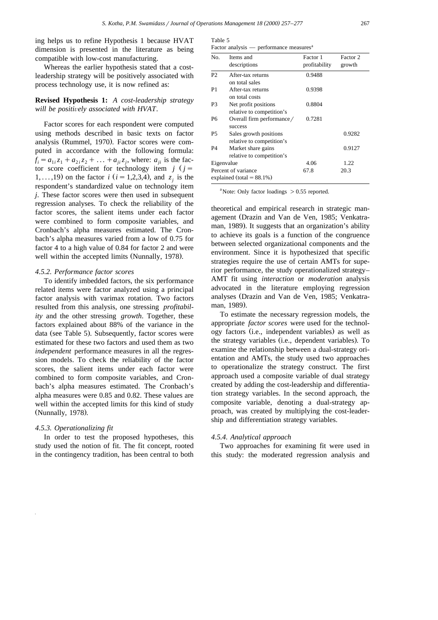ing helps us to refine Hypothesis 1 because HVAT dimension is presented in the literature as being compatible with low-cost manufacturing.

Whereas the earlier hypothesis stated that a costleadership strategy will be positively associated with process technology use, it is now refined as:

**Revised Hypothesis 1:** *A cost-leadership strategy will be positively associated with HVAT.* 

Factor scores for each respondent were computed using methods described in basic texts on factor analysis (Rummel, 1970). Factor scores were computed in accordance with the following formula:  $f_i = a_{1i}z_1 + a_{2i}z_2 + \ldots + a_{ii}z_i$ , where:  $a_{ii}$  is the factor score coefficient for technology item  $j(j =$ 1,...,19) on the factor *i* ( $i = 1,2,3,4$ ), and  $z_i$  is the respondent's standardized value on technology item *j*. These factor scores were then used in subsequent regression analyses. To check the reliability of the factor scores, the salient items under each factor were combined to form composite variables, and Cronbach's alpha measures estimated. The Cronbach's alpha measures varied from a low of 0.75 for factor 4 to a high value of 0.84 for factor 2 and were well within the accepted limits (Nunnally, 1978).

### *4.5.2. Performance factor scores*

To identify imbedded factors, the six performance related items were factor analyzed using a principal factor analysis with varimax rotation. Two factors resulted from this analysis, one stressing *profitability* and the other stressing *growth*. Together, these factors explained about 88% of the variance in the data (see Table 5). Subsequently, factor scores were estimated for these two factors and used them as two *independent* performance measures in all the regression models. To check the reliability of the factor scores, the salient items under each factor were combined to form composite variables, and Cronbach's alpha measures estimated. The Cronbach's alpha measures were 0.85 and 0.82. These values are well within the accepted limits for this kind of study (Nunnally, 1978).

## *4.5.3. Operationalizing fit*

In order to test the proposed hypotheses, this study used the notion of fit. The fit concept, rooted in the contingency tradition, has been central to both

|--|--|

| Factor analysis | performance measures <sup>a</sup> |  |
|-----------------|-----------------------------------|--|
|                 |                                   |  |

| No.            | Items and<br>descriptions                            | Factor 1<br>profitability | Factor 2<br>growth |
|----------------|------------------------------------------------------|---------------------------|--------------------|
| P <sub>2</sub> | After-tax returns                                    | 0.9488                    |                    |
|                | on total sales                                       |                           |                    |
| P1             | After-tax returns<br>on total costs                  | 0.9398                    |                    |
| P3             | Net profit positions<br>relative to competition's    | 0.8804                    |                    |
| P6             | Overall firm performance/<br>success                 | 0.7281                    |                    |
| P5             | Sales growth positions<br>relative to competition's  |                           | 0.9282             |
| P4             | Market share gains<br>relative to competition's      |                           | 0.9127             |
| Eigenvalue     |                                                      | 4.06                      | 1.22               |
|                | Percent of variance<br>explained (total = $88.1\%$ ) | 67.8                      | 20.3               |

<sup>a</sup> Note: Only factor loadings  $> 0.55$  reported.

theoretical and empirical research in strategic management (Drazin and Van de Ven, 1985; Venkatraman, 1989). It suggests that an organization's ability to achieve its goals is a function of the congruence between selected organizational components and the environment. Since it is hypothesized that specific strategies require the use of certain AMTs for superior performance, the study operationalized strategy– AMT fit using *interaction* or *moderation* analysis advocated in the literature employing regression analyses (Drazin and Van de Ven, 1985; Venkatraman, 1989).

To estimate the necessary regression models, the appropriate *factor scores* were used for the technology factors (i.e., independent variables) as well as the strategy variables (i.e., dependent variables). To examine the relationship between a dual-strategy orientation and AMTs, the study used two approaches to operationalize the strategy construct. The first approach used a composite variable of dual strategy created by adding the cost-leadership and differentiation strategy variables. In the second approach, the composite variable, denoting a dual-strategy approach, was created by multiplying the cost-leadership and differentiation strategy variables.

## *4.5.4. Analytical approach*

Two approaches for examining fit were used in this study: the moderated regression analysis and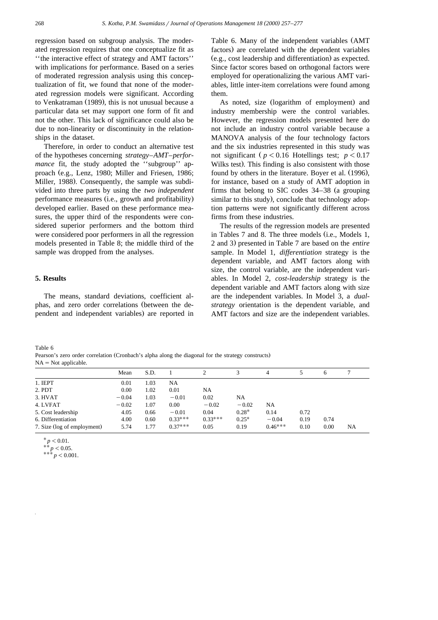regression based on subgroup analysis. The moderated regression requires that one conceptualize fit as ''the interactive effect of strategy and AMT factors'' with implications for performance. Based on a series of moderated regression analysis using this conceptualization of fit, we found that none of the moderated regression models were significant. According to Venkatraman (1989), this is not unusual because a particular data set may support one form of fit and not the other. This lack of significance could also be due to non-linearity or discontinuity in the relationships in the dataset.

Therefore, in order to conduct an alternative test of the hypotheses concerning *strategy–AMT–performance* fit, the study adopted the ''subgroup'' approach (e.g., Lenz, 1980; Miller and Friesen, 1986; Miller, 1988). Consequently, the sample was subdivided into three parts by using the *two independent* performance measures (i.e., growth and profitability) developed earlier. Based on these performance measures, the upper third of the respondents were considered superior performers and the bottom third were considered poor performers in all the regression models presented in Table 8; the middle third of the sample was dropped from the analyses.

## **5. Results**

The means, standard deviations, coefficient alphas, and zero order correlations (between the dependent and independent variables) are reported in Table 6. Many of the independent variables (AMT factors) are correlated with the dependent variables  $(e.g., cost leadership and differentiation)$  as expected. Since factor scores based on orthogonal factors were employed for operationalizing the various AMT variables, little inter-item correlations were found among them.

As noted, size (logarithm of employment) and industry membership were the control variables. However, the regression models presented here do not include an industry control variable because a MANOVA analysis of the four technology factors and the six industries represented in this study was not significant ( $p < 0.16$  Hotellings test;  $p < 0.17$ Wilks test). This finding is also consistent with those found by others in the literature. Boyer et al. (1996), for instance, based on a study of AMT adoption in firms that belong to SIC codes  $34-38$  (a grouping similar to this study), conclude that technology adoption patterns were not significantly different across firms from these industries.

The results of the regression models are presented in Tables 7 and 8. The three models (i.e., Models 1, 2 and 3) presented in Table 7 are based on the *entire* sample. In Model 1, *differentiation* strategy is the dependent variable, and AMT factors along with size, the control variable, are the independent variables. In Model 2, *cost-leadership* strategy is the dependent variable and AMT factors along with size are the independent variables. In Model 3, a *dualstrategy* orientation is the dependent variable, and AMT factors and size are the independent variables.

Table 6

Pearson's zero order correlation (Cronbach's alpha along the diagonal for the strategy constructs)  $NA = Not$  applicable.

| .                           |         |      |           |           |         |           |      |      |           |
|-----------------------------|---------|------|-----------|-----------|---------|-----------|------|------|-----------|
|                             | Mean    | S.D. |           |           |         | 4         |      | 6    |           |
| 1. IEPT                     | 0.01    | 1.03 | <b>NA</b> |           |         |           |      |      |           |
| 2. PDT                      | 0.00    | 1.02 | 0.01      | NA        |         |           |      |      |           |
| 3. HVAT                     | $-0.04$ | 1.03 | $-0.01$   | 0.02      | NA      |           |      |      |           |
| 4. LVFAT                    | $-0.02$ | 1.07 | 0.00      | $-0.02$   | $-0.02$ | <b>NA</b> |      |      |           |
| 5. Cost leadership          | 4.05    | 0.66 | $-0.01$   | 0.04      | $0.28*$ | 0.14      | 0.72 |      |           |
| 6. Differentiation          | 4.00    | 0.60 | $0.33***$ | $0.33***$ | $0.25*$ | $-0.04$   | 0.19 | 0.74 |           |
| 7. Size (log of employment) | 5.74    | 1.77 | $0.37***$ | 0.05      | 0.19    | $0.46***$ | 0.10 | 0.00 | <b>NA</b> |

 $* p < 0.01.$ <br>  $* * p < 0.05.$ <br>  $* * * p < 0.001.$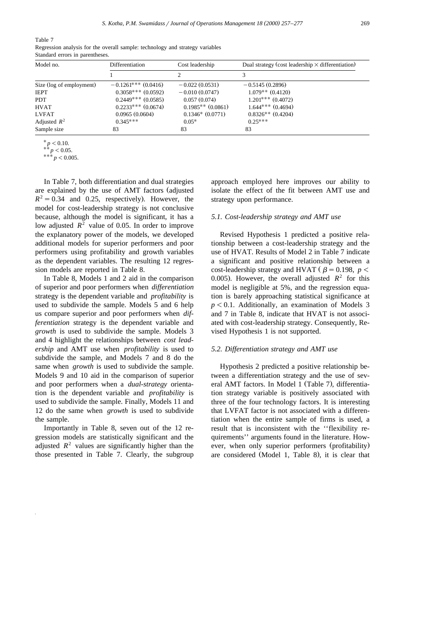Table 7

|                                 |  |  | Regression analysis for the overall sample: technology and strategy variables |  |  |
|---------------------------------|--|--|-------------------------------------------------------------------------------|--|--|
| Standard errors in parentheses. |  |  |                                                                               |  |  |

| Model no.                | Differentiation        | Cost leadership       | Dual strategy (cost leadership $\times$ differentiation) |
|--------------------------|------------------------|-----------------------|----------------------------------------------------------|
|                          |                        |                       |                                                          |
| Size (log of employment) | $-0.1261***$ (0.0416)  | $-0.022(0.0531)$      | $-0.5145(0.2896)$                                        |
| <b>IEPT</b>              | $0.3058***$ (0.0592)   | $-0.010(0.0747)$      | $1.079**$ (0.4120)                                       |
| <b>PDT</b>               | $0.2449***$ $(0.0585)$ | 0.057(0.074)          | $1.201***$ (0.4072)                                      |
| <b>HVAT</b>              | $0.2233***$ (0.0674)   | $0.1985**$ $(0.0861)$ | $1.644***$ $(0.4694)$                                    |
| <b>LVFAT</b>             | 0.0965(0.0604)         | $0.1346*(0.0771)$     | $0.8326**$ (0.4204)                                      |
| Adjusted $R^2$           | $0.345***$             | $0.05*$               | $0.25***$                                                |
| Sample size              | 83                     | 83                    | 83                                                       |

 $* p < 0.10.$ <br>  $* * p < 0.05.$ <br>  $* * * p < 0.005.$ 

In Table 7, both differentiation and dual strategies are explained by the use of AMT factors (adjusted  $R<sup>2</sup> = 0.34$  and 0.25, respectively). However, the model for cost-leadership strategy is not conclusive because, although the model is significant, it has a low adjusted  $R^2$  value of 0.05. In order to improve the explanatory power of the models, we developed additional models for superior performers and poor performers using profitability and growth variables as the dependent variables. The resulting 12 regression models are reported in Table 8.

In Table 8, Models 1 and 2 aid in the comparison of superior and poor performers when *differentiation* strategy is the dependent variable and *profitability* is used to subdivide the sample. Models 5 and 6 help us compare superior and poor performers when *differentiation* strategy is the dependent variable and *growth* is used to subdivide the sample. Models 3 and 4 highlight the relationships between *cost leadership* and AMT use when *profitability* is used to subdivide the sample, and Models 7 and 8 do the same when *growth* is used to subdivide the sample. Models 9 and 10 aid in the comparison of superior and poor performers when a *dual-strategy* orientation is the dependent variable and *profitability* is used to subdivide the sample. Finally, Models 11 and 12 do the same when *growth* is used to subdivide the sample.

Importantly in Table 8, seven out of the 12 regression models are statistically significant and the adjusted  $R^2$  values are significantly higher than the those presented in Table 7. Clearly, the subgroup approach employed here improves our ability to isolate the effect of the fit between AMT use and strategy upon performance.

## *5.1. Cost-leadership strategy and AMT use*

Revised Hypothesis 1 predicted a positive relationship between a cost-leadership strategy and the use of HVAT. Results of Model 2 in Table 7 indicate a significant and positive relationship between a cost-leadership strategy and HVAT  $\left( \beta = 0.198, \ p \right)$ 0.005). However, the overall adjusted  $R^2$  for this model is negligible at 5%, and the regression equation is barely approaching statistical significance at  $p < 0.1$ . Additionally, an examination of Models 3 and 7 in Table 8, indicate that HVAT is not associated with cost-leadership strategy. Consequently, Revised Hypothesis 1 is not supported.

## *5.2. Differentiation strategy and AMT use*

Hypothesis 2 predicted a positive relationship between a differentiation strategy and the use of several AMT factors. In Model 1 (Table 7), differentiation strategy variable is positively associated with three of the four technology factors. It is interesting that LVFAT factor is not associated with a differentiation when the entire sample of firms is used, a result that is inconsistent with the ''flexibility requirements'' arguments found in the literature. However, when only superior performers (profitability) are considered (Model 1, Table 8), it is clear that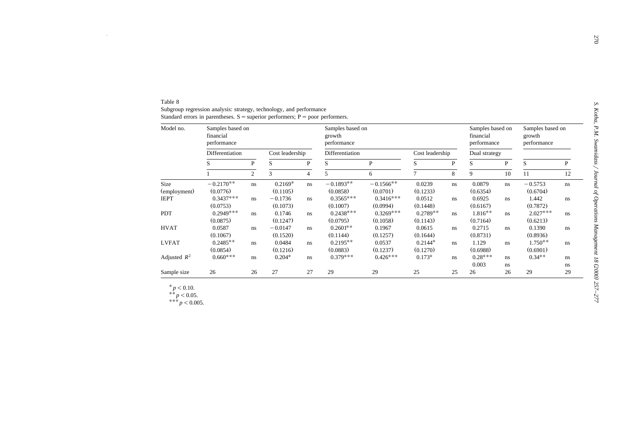| ì                                                                                                                                                                                                                                                      |  |
|--------------------------------------------------------------------------------------------------------------------------------------------------------------------------------------------------------------------------------------------------------|--|
|                                                                                                                                                                                                                                                        |  |
| <b>NUMBER OF STATE</b>                                                                                                                                                                                                                                 |  |
| I<br>í                                                                                                                                                                                                                                                 |  |
|                                                                                                                                                                                                                                                        |  |
|                                                                                                                                                                                                                                                        |  |
| coder of the contract of the contract of the state of the contract of the contract of the contract of the contract of the contract of the contract of the contract of the contract of the contract of the contract of the cont<br>$\ddot{\phantom{0}}$ |  |
|                                                                                                                                                                                                                                                        |  |
|                                                                                                                                                                                                                                                        |  |
| ì<br>Ī<br>t<br>١<br>í                                                                                                                                                                                                                                  |  |

| Table 8        |                                                                                   |    |                 |              |                                           |              |                 |              |                                              |    |                                           |              |
|----------------|-----------------------------------------------------------------------------------|----|-----------------|--------------|-------------------------------------------|--------------|-----------------|--------------|----------------------------------------------|----|-------------------------------------------|--------------|
|                | Subgroup regression analysis: strategy, technology, and performance               |    |                 |              |                                           |              |                 |              |                                              |    |                                           |              |
|                | Standard errors in parentheses. $S =$ superior performers; $P =$ poor performers. |    |                 |              |                                           |              |                 |              |                                              |    |                                           |              |
| Model no.      | Samples based on                                                                  |    |                 |              | Samples based on<br>growth<br>performance |              |                 |              | Samples based on<br>financial<br>performance |    | Samples based on<br>growth<br>performance |              |
|                | financial                                                                         |    |                 |              |                                           |              |                 |              |                                              |    |                                           |              |
|                | performance                                                                       |    |                 |              |                                           |              |                 |              |                                              |    |                                           |              |
|                | Differentiation                                                                   |    | Cost leadership |              | Differentiation                           |              | Cost leadership |              | Dual strategy                                |    |                                           |              |
|                | $\, {\bf P}$<br>S<br>$\overline{2}$                                               |    | S               | $\mathbf{P}$ | S                                         | $\mathbf{P}$ | S               | $\mathbf{P}$ | S                                            | P  | S                                         | $\mathbf{P}$ |
|                |                                                                                   | 3  | $\overline{4}$  | 5            | 6                                         | $\tau$       | 8               | 9            | 10                                           | 11 | 12                                        |              |
| Size           | $-0.2170**$                                                                       | ns | $0.2169*$       | ns           | $-0.1893**$                               | $-0.1566**$  | 0.0239          | ns           | 0.0879                                       | ns | $-0.5753$                                 | ns           |
| (employment)   | (0.0776)                                                                          |    | (0.1105)        |              | (0.0858)                                  | (0.0701)     | (0.1233)        |              | (0.6354)                                     |    | (0.6704)                                  |              |
| <b>IEPT</b>    | $0.3437***$                                                                       | ns | $-0.1736$       | ns.          | $0.3565***$                               | $0.3416***$  | 0.0512          | ns           | 0.6925                                       | ns | 1.442                                     | $\rm ns$     |
|                | (0.0753)                                                                          |    | (0.1073)        |              | (0.1007)                                  | (0.0994)     | (0.1448)        |              | (0.6167)                                     |    | (0.7872)                                  |              |
| <b>PDT</b>     | $0.2949***$                                                                       | ns | 0.1746          | ns           | $0.2438***$                               | $0.3269***$  | $0.2789**$      | $\bf ns$     | $1.816**$                                    | ns | $2.027***$                                | ns           |
|                | (0.0875)                                                                          |    | (0.1247)        |              | (0.0795)                                  | (0.1058)     | (0.1143)        |              | (0.7164)                                     |    | (0.6213)                                  |              |
| <b>HVAT</b>    | 0.0587                                                                            | ns | $-0.0147$       | ns           | $0.2601**$                                | 0.1967       | 0.0615          | ns           | 0.2715                                       | ns | 0.1390                                    | ns           |
|                | (0.1067)                                                                          |    | (0.1520)        |              | (0.1144)                                  | (0.1257)     | (0.1644)        |              | (0.8731)                                     |    | (0.8936)                                  |              |
| <b>LVFAT</b>   | $0.2485**$                                                                        | ns | 0.0484          | ns           | $0.2195**$                                | 0.0537       | $0.2144*$       | ns           | 1.129                                        | ns | $1.750**$                                 | ns           |
|                | (0.0854)                                                                          |    | (0.1216)        |              | (0.0883)                                  | (0.1237)     | (0.1270)        |              | (0.6988)                                     |    | (0.6901)                                  |              |
| Adjusted $R^2$ | $0.660***$                                                                        | ns | $0.204*$        | ns           | $0.379***$                                | $0.426***$   | $0.173*$        | ns           | $0.28***$                                    | ns | $0.34**$                                  | ns           |
|                |                                                                                   |    |                 |              |                                           |              |                 |              | 0.003                                        | ns |                                           | ns           |
|                |                                                                                   | 26 | 27              | 27           | 29                                        | 29           | 25              | 25           | 26                                           | 26 | 29                                        | 29           |

$$
**
$$
*p* < 0.05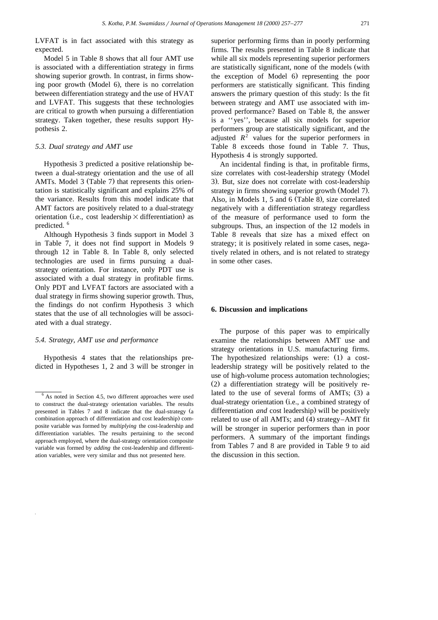LVFAT is in fact associated with this strategy as expected.

Model 5 in Table 8 shows that all four AMT use is associated with a differentiation strategy in firms showing superior growth. In contrast, in firms showing poor growth (Model  $6$ ), there is no correlation between differentiation strategy and the use of HVAT and LVFAT. This suggests that these technologies are critical to growth when pursuing a differentiation strategy. Taken together, these results support Hypothesis 2.

#### *5.3. Dual strategy and AMT use*

Hypothesis 3 predicted a positive relationship between a dual-strategy orientation and the use of all AMTs. Model 3 (Table 7) that represents this orientation is statistically significant and explains 25% of the variance. Results from this model indicate that AMT factors are positively related to a dual-strategy orientation (i.e., cost leadership  $\times$  differentiation) as predicted. <sup>6</sup>

Although Hypothesis 3 finds support in Model 3 in Table 7, it does not find support in Models 9 through 12 in Table 8. In Table 8, only selected technologies are used in firms pursuing a dualstrategy orientation. For instance, only PDT use is associated with a dual strategy in profitable firms. Only PDT and LVFAT factors are associated with a dual strategy in firms showing superior growth. Thus, the findings do not confirm Hypothesis 3 which states that the use of all technologies will be associated with a dual strategy.

#### *5.4. Strategy, AMT use and performance*

Hypothesis 4 states that the relationships predicted in Hypotheses 1, 2 and 3 will be stronger in

superior performing firms than in poorly performing firms. The results presented in Table 8 indicate that while all six models representing superior performers are statistically significant, none of the models (with the exception of Model 6) representing the poor performers are statistically significant. This finding answers the primary question of this study: Is the fit between strategy and AMT use associated with improved performance? Based on Table 8, the answer is a ''yes'', because all six models for superior performers group are statistically significant, and the adjusted  $R^2$  values for the superior performers in Table 8 exceeds those found in Table 7. Thus, Hypothesis 4 is strongly supported.

An incidental finding is that, in profitable firms, size correlates with cost-leadership strategy (Model 3). But, size does not correlate with cost-leadership strategy in firms showing superior growth (Model 7). Also, in Models 1, 5 and 6 (Table 8), size correlated negatively with a differentiation strategy regardless of the measure of performance used to form the subgroups. Thus, an inspection of the 12 models in Table 8 reveals that size has a mixed effect on strategy; it is positively related in some cases, negatively related in others, and is not related to strategy in some other cases.

## **6. Discussion and implications**

The purpose of this paper was to empirically examine the relationships between AMT use and strategy orientations in U.S. manufacturing firms. The hypothesized relationships were:  $(1)$  a costleadership strategy will be positively related to the use of high-volume process automation technologies;  $(2)$  a differentiation strategy will be positively related to the use of several forms of  $AMTs$ ;  $(3)$  a dual-strategy orientation (i.e., a combined strategy of differentiation *and* cost leadership) will be positively related to use of all AMTs; and  $(4)$  strategy–AMT fit will be stronger in superior performers than in poor performers. A summary of the important findings from Tables 7 and 8 are provided in Table 9 to aid the discussion in this section.

<sup>&</sup>lt;sup>6</sup> As noted in Section 4.5, two different approaches were used to construct the dual-strategy orientation variables. The results presented in Tables 7 and 8 indicate that the dual-strategy (a combination approach of differentiation and cost leadership) composite variable was formed by *multiplying* the cost-leadership and differentiation variables. The results pertaining to the second approach employed, where the dual-strategy orientation composite variable was formed by *adding* the cost-leadership and differentiation variables, were very similar and thus not presented here.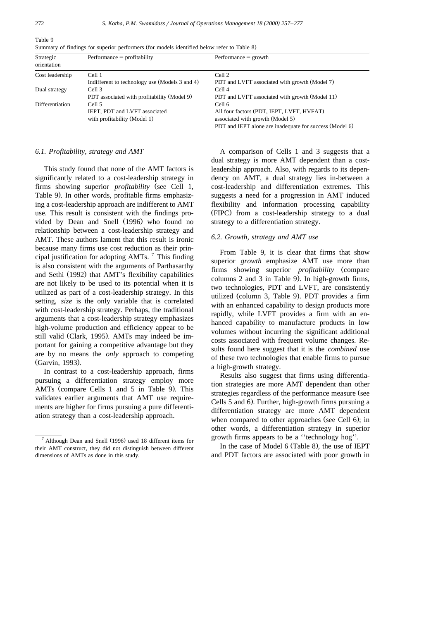| Strategic<br>orientation | $Performance = profitability$                  | $Performance = growth$                                  |  |  |  |
|--------------------------|------------------------------------------------|---------------------------------------------------------|--|--|--|
| Cost leadership          | Cell 1                                         | Cell 2                                                  |  |  |  |
|                          | Indifferent to technology use (Models 3 and 4) | PDT and LVFT associated with growth (Model 7)           |  |  |  |
| Dual strategy            | Cell 3                                         | Cell <sub>4</sub>                                       |  |  |  |
|                          | PDT associated with profitability (Model 9)    | PDT and LVFT associated with growth (Model 11)          |  |  |  |
| Differentiation          | Cell 5                                         | Cell 6                                                  |  |  |  |
|                          | IEPT, PDT and LVFT associated                  | All four factors (PDT, IEPT, LVFT, HVFAT)               |  |  |  |
|                          | with profitability (Model 1)                   | associated with growth (Model 5)                        |  |  |  |
|                          |                                                | PDT and IEPT alone are inadequate for success (Model 6) |  |  |  |

Summary of findings for superior performers (for models identified below refer to Table 8)

#### *6.1. Profitability, strategy and AMT*

This study found that none of the AMT factors is significantly related to a cost-leadership strategy in firms showing superior *profitability* (see Cell 1, Table 9). In other words, profitable firms emphasizing a cost-leadership approach are indifferent to AMT use. This result is consistent with the findings provided by Dean and Snell (1996) who found no relationship between a cost-leadership strategy and AMT. These authors lament that this result is ironic because many firms use cost reduction as their principal justification for adopting AMTs.  $\frac{7}{1}$  This finding is also consistent with the arguments of Parthasarthy and Sethi (1992) that AMT's flexibility capabilities are not likely to be used to its potential when it is utilized as part of a cost-leadership strategy. In this setting, *size* is the only variable that is correlated with cost-leadership strategy. Perhaps, the traditional arguments that a cost-leadership strategy emphasizes high-volume production and efficiency appear to be still valid (Clark, 1995). AMTs may indeed be important for gaining a competitive advantage but they are by no means the *only* approach to competing (Garvin, 1993).

In contrast to a cost-leadership approach, firms pursuing a differentiation strategy employ more AMTs (compare Cells 1 and 5 in Table 9). This validates earlier arguments that AMT use requirements are higher for firms pursuing a pure differentiation strategy than a cost-leadership approach.

A comparison of Cells 1 and 3 suggests that a dual strategy is more AMT dependent than a costleadership approach. Also, with regards to its dependency on AMT, a dual strategy lies in-between a cost-leadership and differentiation extremes. This suggests a need for a progression in AMT induced flexibility and information processing capability (FIPC) from a cost-leadership strategy to a dual strategy to a differentiation strategy.

## *6.2. Growth, strategy and AMT use*

From Table 9, it is clear that firms that show superior *growth* emphasize AMT use more than firms showing superior *profitability* (compare columns  $2$  and  $3$  in Table  $9$ ). In high-growth firms, two technologies, PDT and LVFT, are consistently utilized (column 3, Table 9). PDT provides a firm with an enhanced capability to design products more rapidly, while LVFT provides a firm with an enhanced capability to manufacture products in low volumes without incurring the significant additional costs associated with frequent volume changes. Results found here suggest that it is the *combined* use of these two technologies that enable firms to pursue a high-growth strategy.

Results also suggest that firms using differentiation strategies are more AMT dependent than other strategies regardless of the performance measure (see Cells 5 and 6). Further, high-growth firms pursuing a differentiation strategy are more AMT dependent when compared to other approaches (see Cell  $6$ ); in other words, a differentiation strategy in superior growth firms appears to be a ''technology hog''.

In the case of Model  $6$  (Table 8), the use of IEPT and PDT factors are associated with poor growth in

Table 9

 $^7$  Although Dean and Snell (1996) used 18 different items for their AMT construct, they did not distinguish between different dimensions of AMTs as done in this study.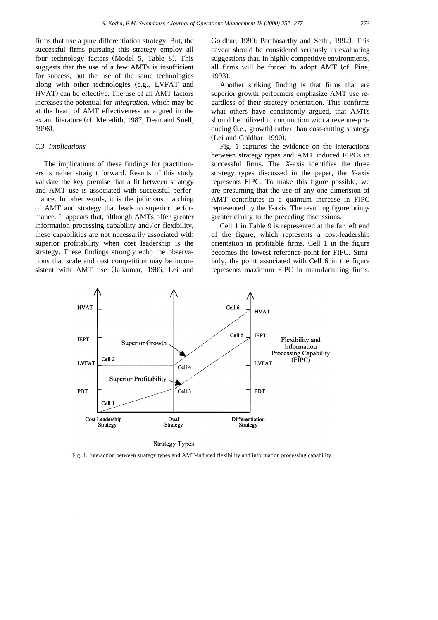firms that use a pure differentiation strategy. But, the successful firms pursuing this strategy employ all four technology factors (Model 5, Table 8). This suggests that the use of a few AMTs is insufficient for success, but the use of the same technologies along with other technologies (e.g., LVFAT and HVAT) can be effective. The use of all AMT factors increases the potential for *integration*, which may be at the heart of AMT effectiveness as argued in the extant literature (cf. Meredith, 1987; Dean and Snell, 1996).

## *6.3. Implications*

The implications of these findings for practitioners is rather straight forward. Results of this study validate the key premise that a fit between strategy and AMT use is associated with successful performance. In other words, it is the judicious matching of AMT and strategy that leads to superior performance. It appears that, although AMTs offer greater information processing capability and/or flexibility, these capabilities are not necessarily associated with superior profitability when cost leadership is the strategy. These findings strongly echo the observations that scale and cost competition may be inconsistent with AMT use (Jaikumar, 1986; Lei and Goldhar, 1990; Parthasarthy and Sethi, 1992). This caveat should be considered seriously in evaluating suggestions that, in highly competitive environments, all firms will be forced to adopt AMT (cf. Pine, 1993).

Another striking finding is that firms that are superior growth performers emphasize AMT use regardless of their strategy orientation. This confirms what others have consistently argued, that AMTs should be utilized in conjunction with a revenue-producing (i.e., growth) rather than cost-cutting strategy (Lei and Goldhar, 1990).

Fig. 1 captures the evidence on the interactions between strategy types and AMT induced FIPCs in successful firms. The *X*-axis identifies the three strategy types discussed in the paper, the *Y*-axis represents FIPC. To make this figure possible, we are presuming that the use of any one dimension of AMT contributes to a quantum increase in FIPC represented by the *Y*-axis. The resulting figure brings greater clarity to the preceding discussions.

Cell 1 in Table 9 is represented at the far left end of the figure, which represents a cost-leadership orientation in profitable firms. Cell 1 in the figure becomes the lowest reference point for FIPC. Similarly, the point associated with Cell 6 in the figure represents maximum FIPC in manufacturing firms.



#### **Strategy Types**

Fig. 1. Interaction between strategy types and AMT-induced flexibility and information processing capability.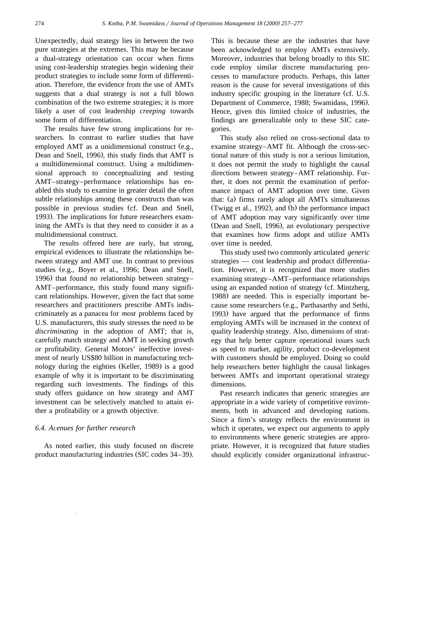Unexpectedly, dual strategy lies in between the two pure strategies at the extremes. This may be because a dual-strategy orientation can occur when firms using cost-leadership strategies begin widening their product strategies to include some form of differentiation. Therefore, the evidence from the use of AMTs suggests that a dual strategy is not a full blown combination of the two extreme strategies; it is more likely a user of cost leadership *creeping* towards some form of differentiation.

The results have few strong implications for researchers. In contrast to earlier studies that have employed AMT as a unidimensional construct  $(e.g.,)$ Dean and Snell, 1996), this study finds that AMT is a multidimensional construct. Using a multidimensional approach to conceptualizing and testing AMT–strategy–performance relationships has enabled this study to examine in greater detail the often subtle relationships among these constructs than was possible in previous studies (cf. Dean and Snell, 1993). The implications for future researchers examining the AMTs is that they need to consider it as a multidimensional construct.

The results offered here are early, but strong, empirical evidences to illustrate the relationships between strategy and AMT use. In contrast to previous studies (e.g., Boyer et al., 1996; Dean and Snell, 1996) that found no relationship between strategy-AMT–performance, this study found many significant relationships. However, given the fact that some researchers and practitioners prescribe AMTs indiscriminately as a panacea for *most* problems faced by U.S. manufacturers, this study stresses the need to be *discriminating* in the adoption of AMT; that is, carefully match strategy and AMT in seeking growth or profitability. General Motors' ineffective investment of nearly US\$80 billion in manufacturing technology during the eighties (Keller, 1989) is a good example of why it is important to be discriminating regarding such investments. The findings of this study offers guidance on how strategy and AMT investment can be selectively matched to attain either a profitability or a growth objective.

## **6.4.** Avenues for further research

As noted earlier, this study focused on discrete product manufacturing industries (SIC codes 34–39). This is because these are the industries that have been acknowledged to employ AMTs extensively. Moreover, industries that belong broadly to this SIC code employ similar discrete manufacturing processes to manufacture products. Perhaps, this latter reason is the cause for several investigations of this industry specific grouping in the literature (cf. U.S. Department of Commerce, 1988; Swamidass, 1996). Hence, given this limited choice of industries, the findings are generalizable only to these SIC categories.

This study also relied on cross-sectional data to examine strategy–AMT fit. Although the cross-sectional nature of this study is not a serious limitation, it does not permit the study to highlight the causal directions between strategy–AMT relationship. Further, it does not permit the examination of performance impact of AMT adoption over time. Given that: (a) firms rarely adopt all AMTs simultaneous (Twigg et al., 1992), and  $(b)$  the performance impact of AMT adoption may vary significantly over time (Dean and Snell, 1996), an evolutionary perspective that examines how firms adopt and utilize AMTs over time is needed.

This study used two commonly articulated *generic* strategies — cost leadership and product differentiation. However, it is recognized that more studies examining strategy–AMT–performance relationships using an expanded notion of strategy (cf. Mintzberg, 1988) are needed. This is especially important because some researchers (e.g., Parthasarthy and Sethi, 1993) have argued that the performance of firms employing AMTs will be increased in the context of quality leadership strategy. Also, dimensions of strategy that help better capture operational issues such as speed to market, agility, product co-development with customers should be employed. Doing so could help researchers better highlight the causal linkages between AMTs and important operational strategy dimensions.

Past research indicates that generic strategies are appropriate in a wide variety of competitive environments, both in advanced and developing nations. Since a firm's strategy reflects the environment in which it operates, we expect our arguments to apply to environments where generic strategies are appropriate. However, it is recognized that future studies should explicitly consider organizational infrastruc-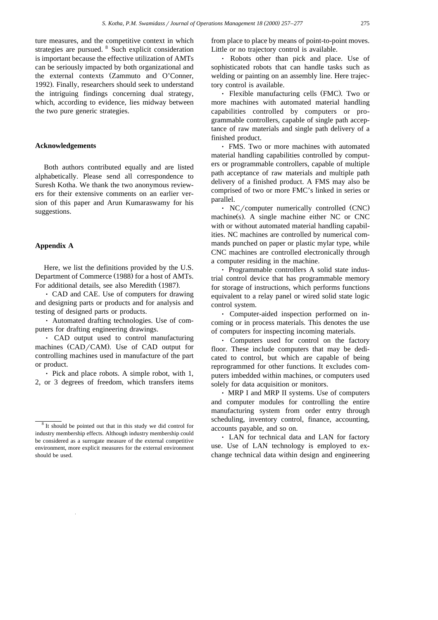ture measures, and the competitive context in which strategies are pursued. <sup>8</sup> Such explicit consideration is important because the effective utilization of AMTs can be seriously impacted by both organizational and the external contexts (Zammuto and O'Conner, 1992). Finally, researchers should seek to understand the intriguing findings concerning dual strategy, which, according to evidence, lies midway between the two pure generic strategies.

#### **Acknowledgements**

Both authors contributed equally and are listed alphabetically. Please send all correspondence to Suresh Kotha. We thank the two anonymous reviewers for their extensive comments on an earlier version of this paper and Arun Kumaraswamy for his suggestions.

## **Appendix A**

Here, we list the definitions provided by the U.S. Department of Commerce (1988) for a host of AMTs. For additional details, see also Meredith (1987).

• CAD and CAE. Use of computers for drawing and designing parts or products and for analysis and testing of designed parts or products.

Ø Automated drafting technologies. Use of computers for drafting engineering drawings.

• CAD output used to control manufacturing machines (CAD/CAM). Use of CAD output for controlling machines used in manufacture of the part or product.

 $\cdot$  Pick and place robots. A simple robot, with 1, 2, or 3 degrees of freedom, which transfers items from place to place by means of point-to-point moves. Little or no trajectory control is available.

• Robots other than pick and place. Use of sophisticated robots that can handle tasks such as welding or painting on an assembly line. Here trajectory control is available.

 $\cdot$  Flexible manufacturing cells (FMC). Two or more machines with automated material handling capabilities controlled by computers or programmable controllers, capable of single path acceptance of raw materials and single path delivery of a finished product.

Ø FMS. Two or more machines with automated material handling capabilities controlled by computers or programmable controllers, capable of multiple path acceptance of raw materials and multiple path delivery of a finished product. A FMS may also be comprised of two or more FMC's linked in series or parallel.

 $\cdot$  NC/computer numerically controlled (CNC)  $machine(s)$ . A single machine either NC or CNC with or without automated material handling capabilities. NC machines are controlled by numerical commands punched on paper or plastic mylar type, while CNC machines are controlled electronically through a computer residing in the machine.

• Programmable controllers A solid state industrial control device that has programmable memory for storage of instructions, which performs functions equivalent to a relay panel or wired solid state logic control system.

Ø Computer-aided inspection performed on incoming or in process materials. This denotes the use of computers for inspecting incoming materials.

Ø Computers used for control on the factory floor. These include computers that may be dedicated to control, but which are capable of being reprogrammed for other functions. It excludes computers imbedded within machines, or computers used solely for data acquisition or monitors.

• MRP I and MRP II systems. Use of computers and computer modules for controlling the entire manufacturing system from order entry through scheduling, inventory control, finance, accounting, accounts payable, and so on.

• LAN for technical data and LAN for factory use. Use of LAN technology is employed to exchange technical data within design and engineering

<sup>8</sup> It should be pointed out that in this study we did control for industry membership effects. Although industry membership could be considered as a surrogate measure of the external competitive environment, more explicit measures for the external environment should be used.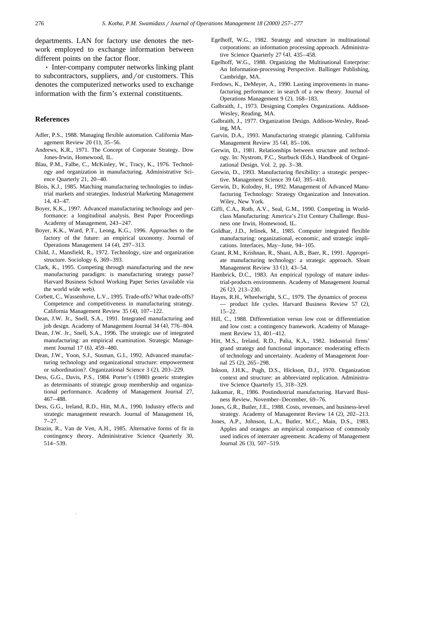departments. LAN for factory use denotes the network employed to exchange information between different points on the factor floor.

• Inter-company computer networks linking plant to subcontractors, suppliers, and/or customers. This denotes the computerized networks used to exchange information with the firm's external constituents.

## **References**

- Adler, P.S., 1988. Managing flexible automation. California Management Review 20  $(1)$ , 35–56.
- Andrews, K.R., 1971. The Concept of Corporate Strategy. Dow Jones-Irwin, Homewood, IL.
- Blau, P.M., Falbe, C., McKinley, W., Tracy, K., 1976. Technology and organization in manufacturing. Administrative Science Quarterly 21, 20–40.
- Blois, K.J., 1985. Matching manufacturing technologies to industrial markets and strategies. Industrial Marketing Management 14, 43–47.
- Boyer, K.K., 1997. Advanced manufacturing technology and performance: a longitudinal analysis. Best Paper Proceedings Academy of Management, 243–247.
- Boyer, K.K., Ward, P.T., Leong, K.G., 1996. Approaches to the factory of the future: an empirical taxonomy. Journal of Operations Management 14 (4), 297-313.
- Child, J., Mansfield, R., 1972. Technology, size and organization structure. Sociology 6, 369–393.
- Clark, K., 1995. Competing through manufacturing and the new manufacturing paradigm: is manufacturing strategy passe? Harvard Business School Working Paper Series (available via the world wide web).
- Corbett, C., Wassenhove, L.V., 1995. Trade-offs? What trade-offs? Competence and competitiveness in manufacturing strategy. California Management Review 35 (4), 107-122.
- Dean, J.W. Jr., Snell, S.A., 1991. Integrated manufacturing and job design. Academy of Management Journal 34 (4), 776–804.
- Dean, J.W. Jr., Snell, S.A., 1996. The strategic use of integrated manufacturing: an empirical examination. Strategic Management Journal 17 (6), 459–480.
- Dean, J.W., Yoon, S.J., Susman, G.I., 1992. Advanced manufacturing technology and organizational structure: empowerment or subordination?. Organizational Science 3 (2), 203-229.
- Dess, G.G., Davis, P.S., 1984. Porter's (1980) generic strategies as determinants of strategic group membership and organizational performance. Academy of Management Journal 27, 467–488.
- Dess, G.G., Ireland, R.D., Hitt, M.A., 1990. Industry effects and strategic management research. Journal of Management 16,  $7-27.$
- Drazin, R., Van de Ven, A.H., 1985. Alternative forms of fit in contingency theory. Administrative Science Quarterly 30, 514–539.
- Egelhoff, W.G., 1982. Strategy and structure in multinational corporations: an information processing approach. Administrative Science Quarterly  $27$  (4),  $435-458$ .
- Egelhoff, W.G., 1988. Organizing the Multinational Enterprise: An Information-processing Perspective. Ballinger Publishing, Cambridge, MA.
- Ferdows, K., DeMeyer, A., 1990. Lasting improvements in manufacturing performance: in search of a new theory. Journal of Operations Management  $9(2)$ , 168–183.
- Galbraith, J., 1973. Designing Complex Organizations. Addison-Wesley, Reading, MA.
- Galbraith, J., 1977. Organization Design. Addison-Wesley, Reading, MA.
- Garvin, D.A., 1993. Manufacturing strategic planning. California Management Review 35  $(4)$ , 85-106.
- Gerwin, D., 1981. Relationships between structure and technology. In: Nystrom, P.C., Starbuck (Eds.), Handbook of Organizational Design, Vol. 2, pp. 3–38.
- Gerwin, D., 1993. Manufacturing flexibility: a strategic perspective. Management Science 39  $(4)$ , 395-410.
- Gerwin, D., Kolodny, H., 1992. Management of Advanced Manufacturing Technology: Strategy Organization and Innovation. Wiley, New York.
- Giffi, C.A., Roth, A.V., Seal, G.M., 1990. Competing in Worldclass Manufacturing: America's 21st Century Challenge. Business one Irwin, Homewood, IL.
- Goldhar, J.D., Jelinek, M., 1985. Computer integrated flexible manufacturing: organizational, economic, and strategic implications. Interfaces, May–June, 94–105.
- Grant, R.M., Krishnan, R., Shani, A.B., Baer, R., 1991. Appropriate manufacturing technology: a strategic approach. Sloan Management Review 33 (1), 43-54.
- Hambrick, D.C., 1983. An empirical typology of mature industrial-products environments. Academy of Management Journal  $26(2)$ ,  $213-230$ .
- Hayes, R.H., Wheelwright, S.C., 1979. The dynamics of process  $-$  product life cycles. Harvard Business Review 57 (2), 15–22.
- Hill, C., 1988. Differentiation versus low cost or differentiation and low cost: a contingency framework. Academy of Management Review 13, 401–412.
- Hitt, M.S., Ireland, R.D., Palia, K.A., 1982. Industrial firms' grand strategy and functional importance: moderating effects of technology and uncertainty. Academy of Management Journal 25 (2), 265-298.
- Inkson, J.H.K., Pugh, D.S., Hickson, D.J., 1970. Organization context and structure: an abbreviated replication. Administrative Science Quarterly 15, 318–329.
- Jaikumar, R., 1986. Postindustrial manufacturing. Harvard Business Review, November–December, 69–76.
- Jones, G.R., Butler, J.E., 1988. Costs, revenues, and business-level strategy. Academy of Management Review  $14$   $(2)$ ,  $202-213$ .
- Jones, A.P., Johnson, L.A., Butler, M.C., Main, D.S., 1983. Apples and oranges: an empirical comparison of commonly used indices of interrater agreement. Academy of Management Journal 26 (3), 507-519.